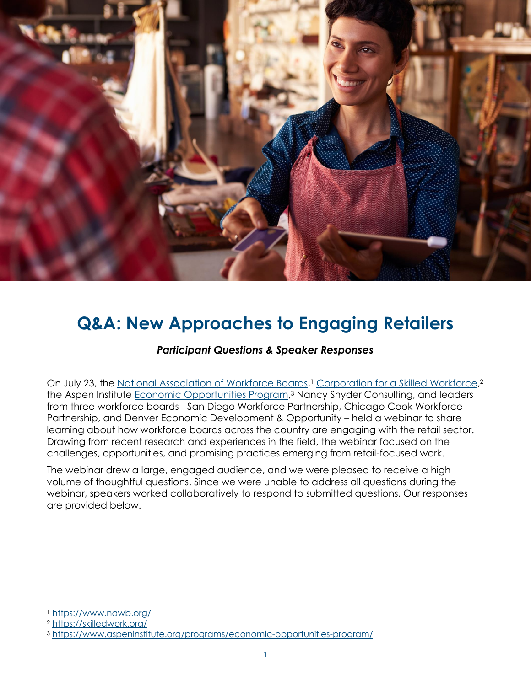

# **Q&A: New Approaches to Engaging Retailers**

### *Participant Questions & Speaker Responses*

On July 23, the [National Association of Workforce Boards,](https://www.nawb.org/)<sup>1</sup> [Corporation for a Skilled Workforce,](https://skilledwork.org/)<sup>2</sup> the Aspen Institute *Economic Opportunities Program*,<sup>3</sup> Nancy Snyder Consulting, and leaders from three workforce boards - San Diego Workforce Partnership, Chicago Cook Workforce Partnership, and Denver Economic Development & Opportunity – held a webinar to share learning about how workforce boards across the country are engaging with the retail sector. Drawing from recent research and experiences in the field, the webinar focused on the challenges, opportunities, and promising practices emerging from retail-focused work.

The webinar drew a large, engaged audience, and we were pleased to receive a high volume of thoughtful questions. Since we were unable to address all questions during the webinar, speakers worked collaboratively to respond to submitted questions. Our responses are provided below.

<sup>1</sup> <https://www.nawb.org/>

<sup>2</sup> <https://skilledwork.org/>

<sup>3</sup> <https://www.aspeninstitute.org/programs/economic-opportunities-program/>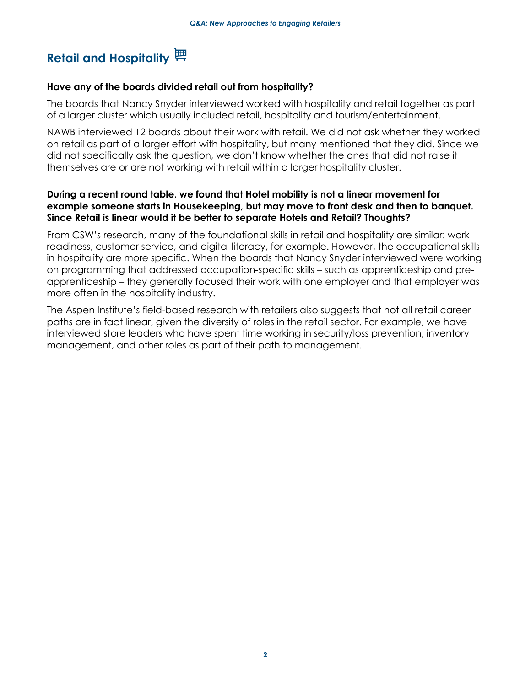## Retail and Hospitality<sup></sup> **博**

#### **Have any of the boards divided retail out from hospitality?**

The boards that Nancy Snyder interviewed worked with hospitality and retail together as part of a larger cluster which usually included retail, hospitality and tourism/entertainment.

NAWB interviewed 12 boards about their work with retail. We did not ask whether they worked on retail as part of a larger effort with hospitality, but many mentioned that they did. Since we did not specifically ask the question, we don't know whether the ones that did not raise it themselves are or are not working with retail within a larger hospitality cluster.

### **During a recent round table, we found that Hotel mobility is not a linear movement for example someone starts in Housekeeping, but may move to front desk and then to banquet. Since Retail is linear would it be better to separate Hotels and Retail? Thoughts?**

From CSW's research, many of the foundational skills in retail and hospitality are similar: work readiness, customer service, and digital literacy, for example. However, the occupational skills in hospitality are more specific. When the boards that Nancy Snyder interviewed were working on programming that addressed occupation-specific skills – such as apprenticeship and preapprenticeship – they generally focused their work with one employer and that employer was more often in the hospitality industry.

The Aspen Institute's field-based research with retailers also suggests that not all retail career paths are in fact linear, given the diversity of roles in the retail sector. For example, we have interviewed store leaders who have spent time working in security/loss prevention, inventory management, and other roles as part of their path to management.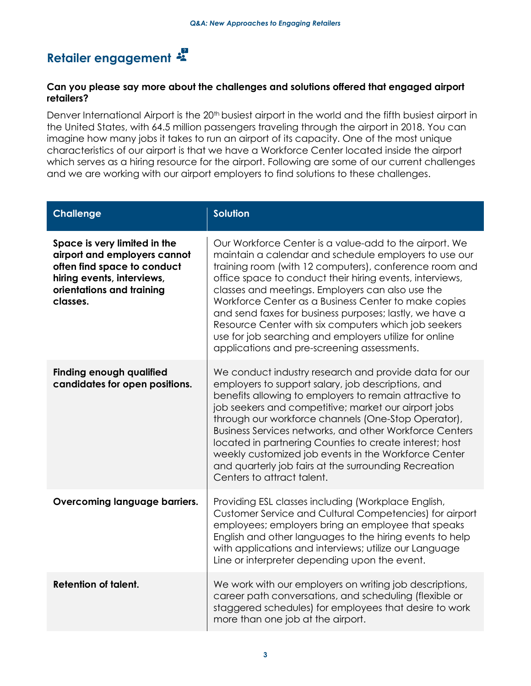# **Retailer engagement**

### **Can you please say more about the challenges and solutions offered that engaged airport retailers?**

Denver International Airport is the 20<sup>th</sup> busiest airport in the world and the fifth busiest airport in the United States, with 64.5 million passengers traveling through the airport in 2018. You can imagine how many jobs it takes to run an airport of its capacity. One of the most unique characteristics of our airport is that we have a Workforce Center located inside the airport which serves as a hiring resource for the airport. Following are some of our current challenges and we are working with our airport employers to find solutions to these challenges.

| <b>Challenge</b>                                                                                                                                                   | <b>Solution</b>                                                                                                                                                                                                                                                                                                                                                                                                                                                                                                                                                               |
|--------------------------------------------------------------------------------------------------------------------------------------------------------------------|-------------------------------------------------------------------------------------------------------------------------------------------------------------------------------------------------------------------------------------------------------------------------------------------------------------------------------------------------------------------------------------------------------------------------------------------------------------------------------------------------------------------------------------------------------------------------------|
| Space is very limited in the<br>airport and employers cannot<br>often find space to conduct<br>hiring events, interviews,<br>orientations and training<br>classes. | Our Workforce Center is a value-add to the airport. We<br>maintain a calendar and schedule employers to use our<br>training room (with 12 computers), conference room and<br>office space to conduct their hiring events, interviews,<br>classes and meetings. Employers can also use the<br>Workforce Center as a Business Center to make copies<br>and send faxes for business purposes; lastly, we have a<br>Resource Center with six computers which job seekers<br>use for job searching and employers utilize for online<br>applications and pre-screening assessments. |
| <b>Finding enough qualified</b><br>candidates for open positions.                                                                                                  | We conduct industry research and provide data for our<br>employers to support salary, job descriptions, and<br>benefits allowing to employers to remain attractive to<br>job seekers and competitive; market our airport jobs<br>through our workforce channels (One-Stop Operator),<br>Business Services networks, and other Workforce Centers<br>located in partnering Counties to create interest; host<br>weekly customized job events in the Workforce Center<br>and quarterly job fairs at the surrounding Recreation<br>Centers to attract talent.                     |
| Overcoming language barriers.                                                                                                                                      | Providing ESL classes including (Workplace English,<br>Customer Service and Cultural Competencies) for airport<br>employees; employers bring an employee that speaks<br>English and other languages to the hiring events to help<br>with applications and interviews; utilize our Language<br>Line or interpreter depending upon the event.                                                                                                                                                                                                                                   |
| <b>Retention of talent.</b>                                                                                                                                        | We work with our employers on writing job descriptions,<br>career path conversations, and scheduling (flexible or<br>staggered schedules) for employees that desire to work<br>more than one job at the airport.                                                                                                                                                                                                                                                                                                                                                              |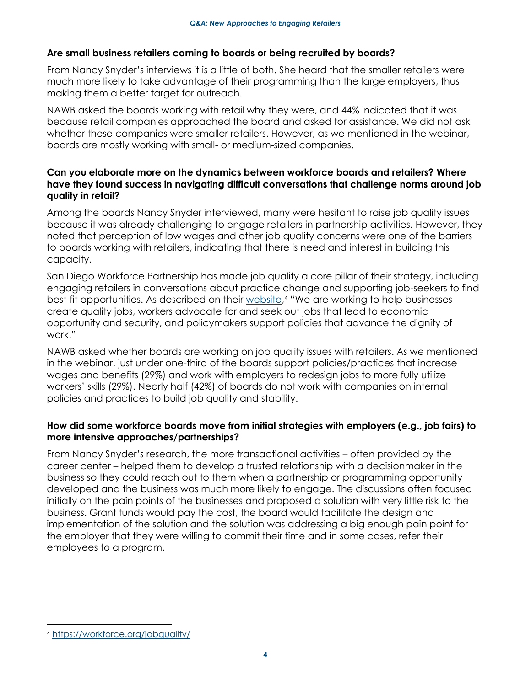### **Are small business retailers coming to boards or being recruited by boards?**

From Nancy Snyder's interviews it is a little of both. She heard that the smaller retailers were much more likely to take advantage of their programming than the large employers, thus making them a better target for outreach.

NAWB asked the boards working with retail why they were, and 44% indicated that it was because retail companies approached the board and asked for assistance. We did not ask whether these companies were smaller retailers. However, as we mentioned in the webinar, boards are mostly working with small- or medium-sized companies.

### **Can you elaborate more on the dynamics between workforce boards and retailers? Where have they found success in navigating difficult conversations that challenge norms around job quality in retail?**

Among the boards Nancy Snyder interviewed, many were hesitant to raise job quality issues because it was already challenging to engage retailers in partnership activities. However, they noted that perception of low wages and other job quality concerns were one of the barriers to boards working with retailers, indicating that there is need and interest in building this capacity.

San Diego Workforce Partnership has made job quality a core pillar of their strategy, including engaging retailers in conversations about practice change and supporting job-seekers to find best-fit opportunities. As described on their [website,](https://workforce.org/jobquality/) <sup>4</sup> "We are working to help businesses create quality jobs, workers advocate for and seek out jobs that lead to economic opportunity and security, and policymakers support policies that advance the dignity of work."

NAWB asked whether boards are working on job quality issues with retailers. As we mentioned in the webinar, just under one-third of the boards support policies/practices that increase wages and benefits (29%) and work with employers to redesign jobs to more fully utilize workers' skills (29%). Nearly half (42%) of boards do not work with companies on internal policies and practices to build job quality and stability.

### **How did some workforce boards move from initial strategies with employers (e.g., job fairs) to more intensive approaches/partnerships?**

From Nancy Snyder's research, the more transactional activities – often provided by the career center – helped them to develop a trusted relationship with a decisionmaker in the business so they could reach out to them when a partnership or programming opportunity developed and the business was much more likely to engage. The discussions often focused initially on the pain points of the businesses and proposed a solution with very little risk to the business. Grant funds would pay the cost, the board would facilitate the design and implementation of the solution and the solution was addressing a big enough pain point for the employer that they were willing to commit their time and in some cases, refer their employees to a program.

 <sup>4</sup> <https://workforce.org/jobquality/>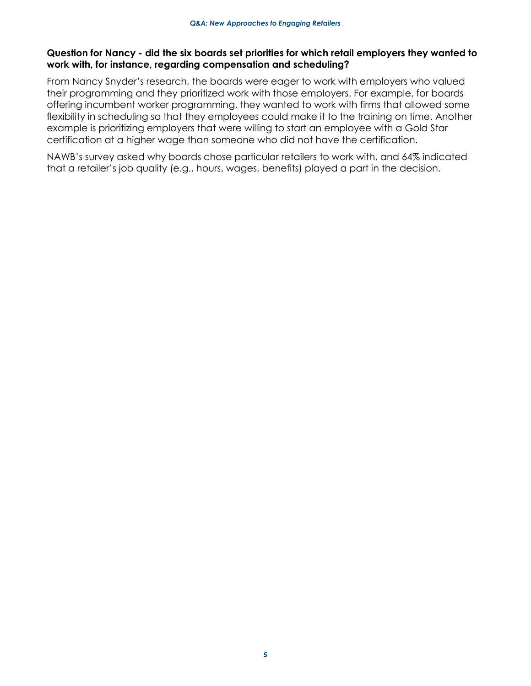### **Question for Nancy - did the six boards set priorities for which retail employers they wanted to work with, for instance, regarding compensation and scheduling?**

From Nancy Snyder's research, the boards were eager to work with employers who valued their programming and they prioritized work with those employers. For example, for boards offering incumbent worker programming, they wanted to work with firms that allowed some flexibility in scheduling so that they employees could make it to the training on time. Another example is prioritizing employers that were willing to start an employee with a Gold Star certification at a higher wage than someone who did not have the certification.

NAWB's survey asked why boards chose particular retailers to work with, and 64% indicated that a retailer's job quality (e.g., hours, wages, benefits) played a part in the decision.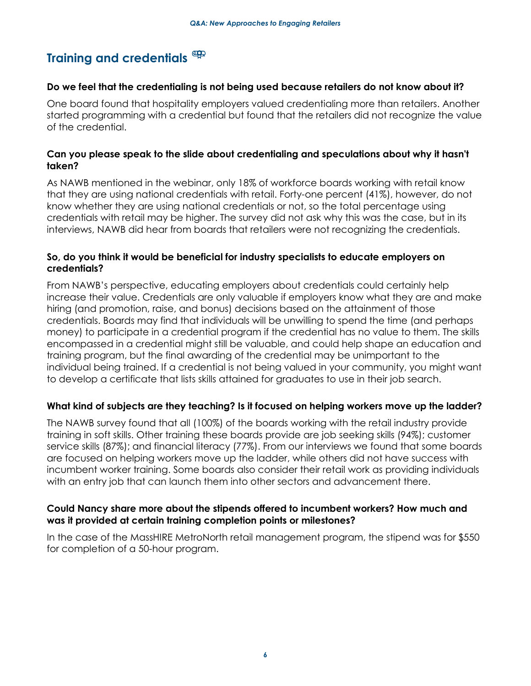## **Training and credentials**

#### **Do we feel that the credentialing is not being used because retailers do not know about it?**

One board found that hospitality employers valued credentialing more than retailers. Another started programming with a credential but found that the retailers did not recognize the value of the credential.

### **Can you please speak to the slide about credentialing and speculations about why it hasn't taken?**

As NAWB mentioned in the webinar, only 18% of workforce boards working with retail know that they are using national credentials with retail. Forty-one percent (41%), however, do not know whether they are using national credentials or not, so the total percentage using credentials with retail may be higher. The survey did not ask why this was the case, but in its interviews, NAWB did hear from boards that retailers were not recognizing the credentials.

### **So, do you think it would be beneficial for industry specialists to educate employers on credentials?**

From NAWB's perspective, educating employers about credentials could certainly help increase their value. Credentials are only valuable if employers know what they are and make hiring (and promotion, raise, and bonus) decisions based on the attainment of those credentials. Boards may find that individuals will be unwilling to spend the time (and perhaps money) to participate in a credential program if the credential has no value to them. The skills encompassed in a credential might still be valuable, and could help shape an education and training program, but the final awarding of the credential may be unimportant to the individual being trained. If a credential is not being valued in your community, you might want to develop a certificate that lists skills attained for graduates to use in their job search.

### **What kind of subjects are they teaching? Is it focused on helping workers move up the ladder?**

The NAWB survey found that all (100%) of the boards working with the retail industry provide training in soft skills. Other training these boards provide are job seeking skills (94%); customer service skills (87%); and financial literacy (77%). From our interviews we found that some boards are focused on helping workers move up the ladder, while others did not have success with incumbent worker training. Some boards also consider their retail work as providing individuals with an entry job that can launch them into other sectors and advancement there.

### **Could Nancy share more about the stipends offered to incumbent workers? How much and was it provided at certain training completion points or milestones?**

In the case of the MassHIRE MetroNorth retail management program, the stipend was for \$550 for completion of a 50-hour program.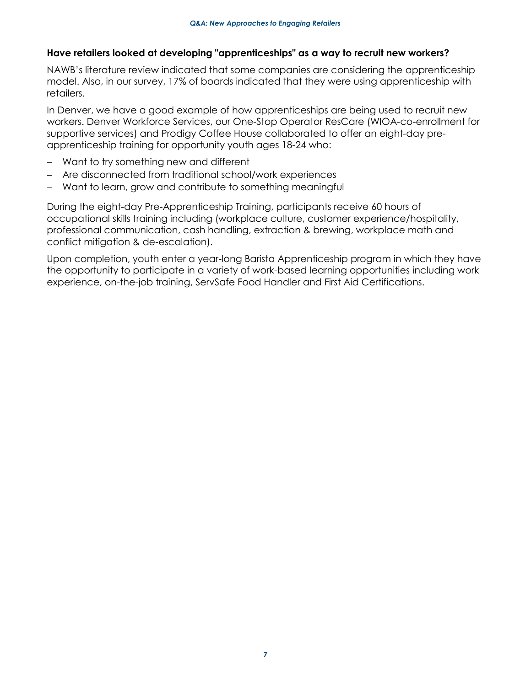### **Have retailers looked at developing "apprenticeships" as a way to recruit new workers?**

NAWB's literature review indicated that some companies are considering the apprenticeship model. Also, in our survey, 17% of boards indicated that they were using apprenticeship with retailers.

In Denver, we have a good example of how apprenticeships are being used to recruit new workers. Denver Workforce Services, our One-Stop Operator ResCare (WIOA-co-enrollment for supportive services) and Prodigy Coffee House collaborated to offer an eight-day preapprenticeship training for opportunity youth ages 18-24 who:

- − Want to try something new and different
- − Are disconnected from traditional school/work experiences
- Want to learn, grow and contribute to something meaningful

During the eight-day Pre-Apprenticeship Training, participants receive 60 hours of occupational skills training including (workplace culture, customer experience/hospitality, professional communication, cash handling, extraction & brewing, workplace math and conflict mitigation & de-escalation).

Upon completion, youth enter a year-long Barista Apprenticeship program in which they have the opportunity to participate in a variety of work-based learning opportunities including work experience, on-the-job training, ServSafe Food Handler and First Aid Certifications.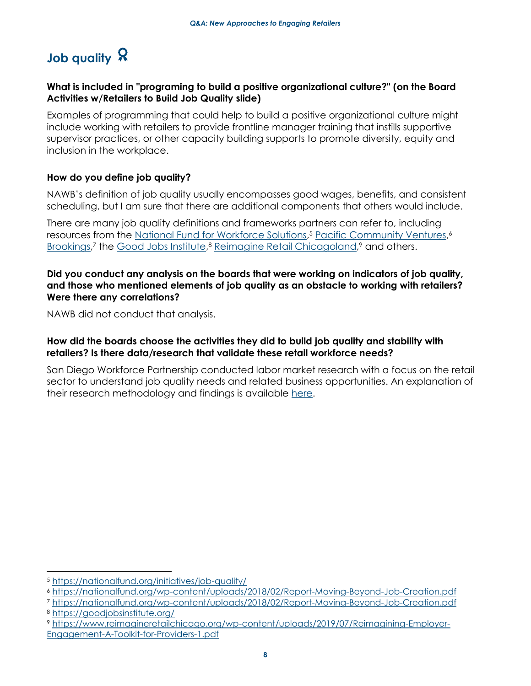## **Job quality** Q

### **What is included in "programing to build a positive organizational culture?" (on the Board Activities w/Retailers to Build Job Quality slide)**

Examples of programming that could help to build a positive organizational culture might include working with retailers to provide frontline manager training that instills supportive supervisor practices, or other capacity building supports to promote diversity, equity and inclusion in the workplace.

### **How do you define job quality?**

NAWB's definition of job quality usually encompasses good wages, benefits, and consistent scheduling, but I am sure that there are additional components that others would include.

There are many job quality definitions and frameworks partners can refer to, including resources from the [National Fund for Workforce Solutions,](https://nationalfund.org/initiatives/job-quality/) <sup>5</sup> [Pacific Community Ventures,](https://nationalfund.org/wp-content/uploads/2018/02/Report-Moving-Beyond-Job-Creation.pdf) 6 [Brookings,](https://www.brookings.edu/articles/prioritizing-job-quality/) 7 the [Good Jobs Institute,](https://goodjobsinstitute.org/) <sup>8</sup> [Reimagine Retail Chicagoland,](https://www.reimagineretailchicago.org/wp-content/uploads/2019/07/Reimagining-Employer-Engagement-A-Toolkit-for-Providers-1.pdf) <sup>9</sup> and others.

### **Did you conduct any analysis on the boards that were working on indicators of job quality, and those who mentioned elements of job quality as an obstacle to working with retailers? Were there any correlations?**

NAWB did not conduct that analysis.

### **How did the boards choose the activities they did to build job quality and stability with retailers? Is there data/research that validate these retail workforce needs?**

San Diego Workforce Partnership conducted labor market research with a focus on the retail sector to understand job quality needs and related business opportunities. An explanation of their research methodology and findings is available [here.](https://workforce.org/research/retail)

 <sup>5</sup> <https://nationalfund.org/initiatives/job-quality/>

<sup>6</sup> <https://nationalfund.org/wp-content/uploads/2018/02/Report-Moving-Beyond-Job-Creation.pdf>

<sup>7</sup> <https://nationalfund.org/wp-content/uploads/2018/02/Report-Moving-Beyond-Job-Creation.pdf> <sup>8</sup> <https://goodjobsinstitute.org/>

<sup>9</sup> [https://www.reimagineretailchicago.org/wp-content/uploads/2019/07/Reimagining-Employer-](https://www.reimagineretailchicago.org/wp-content/uploads/2019/07/Reimagining-Employer-Engagement-A-Toolkit-for-Providers-1.pdf)[Engagement-A-Toolkit-for-Providers-1.pdf](https://www.reimagineretailchicago.org/wp-content/uploads/2019/07/Reimagining-Employer-Engagement-A-Toolkit-for-Providers-1.pdf)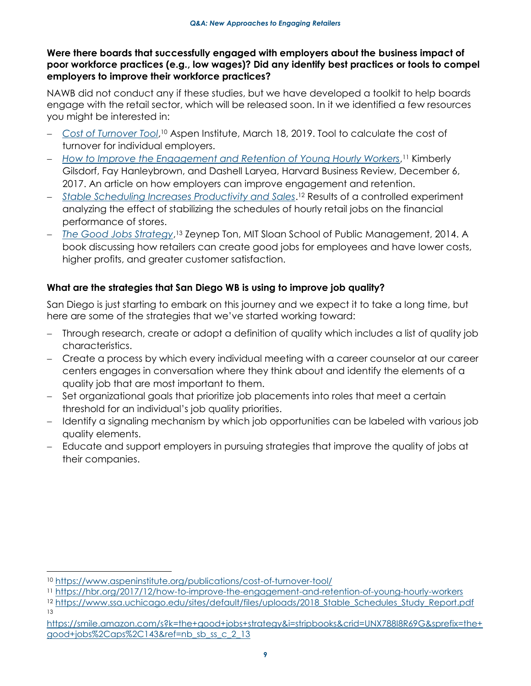### **Were there boards that successfully engaged with employers about the business impact of poor workforce practices (e.g., low wages)? Did any identify best practices or tools to compel employers to improve their workforce practices?**

NAWB did not conduct any if these studies, but we have developed a toolkit to help boards engage with the retail sector, which will be released soon. In it we identified a few resources you might be interested in:

- − *[Cost of Turnover Tool](https://www.aspeninstitute.org/publications/cost-of-turnover-tool/)*, <sup>10</sup> Aspen Institute, March 18, 2019. Tool to calculate the cost of turnover for individual employers.
- − *[How to Improve the Engagement and Retention of Young Hourly Workers](https://hbr.org/2017/12/how-to-improve-the-engagement-and-retention-of-young-hourly-workers)*, <sup>11</sup> Kimberly Gilsdorf, Fay Hanleybrown, and Dashell Laryea, Harvard Business Review, December 6, 2017. An article on how employers can improve engagement and retention.
- − *[Stable Scheduling Increases Productivity and Sales](https://www.ssa.uchicago.edu/sites/default/files/uploads/2018_Stable_Schedules_Study_Report.pdf)*. <sup>12</sup> Results of a controlled experiment analyzing the effect of stabilizing the schedules of hourly retail jobs on the financial performance of stores.
- − *[The Good Jobs Strategy](https://smile.amazon.com/s?k=the+good+jobs+strategy&i=stripbooks&crid=UNX788I8R69G&sprefix=the+good+jobs%2Caps%2C143&ref=nb_sb_ss_c_2_13)*, <sup>13</sup> Zeynep Ton, MIT Sloan School of Public Management, 2014. A book discussing how retailers can create good jobs for employees and have lower costs, higher profits, and greater customer satisfaction.

### **What are the strategies that San Diego WB is using to improve job quality?**

San Diego is just starting to embark on this journey and we expect it to take a long time, but here are some of the strategies that we've started working toward:

- − Through research, create or adopt a definition of quality which includes a list of quality job characteristics.
- − Create a process by which every individual meeting with a career counselor at our career centers engages in conversation where they think about and identify the elements of a quality job that are most important to them.
- − Set organizational goals that prioritize job placements into roles that meet a certain threshold for an individual's job quality priorities.
- − Identify a signaling mechanism by which job opportunities can be labeled with various job quality elements.
- − Educate and support employers in pursuing strategies that improve the quality of jobs at their companies.

<sup>10</sup> <https://www.aspeninstitute.org/publications/cost-of-turnover-tool/>

<sup>11</sup> <https://hbr.org/2017/12/how-to-improve-the-engagement-and-retention-of-young-hourly-workers>

<sup>12</sup> [https://www.ssa.uchicago.edu/sites/default/files/uploads/2018\\_Stable\\_Schedules\\_Study\\_Report.pdf](https://www.ssa.uchicago.edu/sites/default/files/uploads/2018_Stable_Schedules_Study_Report.pdf) 13

[https://smile.amazon.com/s?k=the+good+jobs+strategy&i=stripbooks&crid=UNX788I8R69G&sprefix=the+](https://smile.amazon.com/s?k=the+good+jobs+strategy&i=stripbooks&crid=UNX788I8R69G&sprefix=the+good+jobs%2Caps%2C143&ref=nb_sb_ss_c_2_13) [good+jobs%2Caps%2C143&ref=nb\\_sb\\_ss\\_c\\_2\\_13](https://smile.amazon.com/s?k=the+good+jobs+strategy&i=stripbooks&crid=UNX788I8R69G&sprefix=the+good+jobs%2Caps%2C143&ref=nb_sb_ss_c_2_13)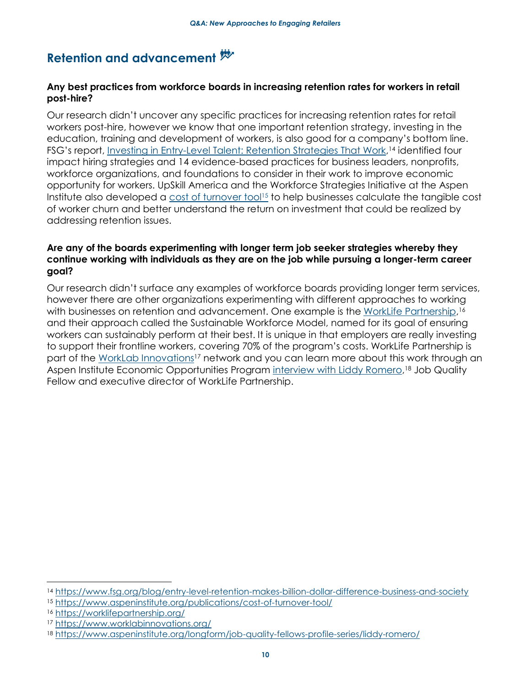## **Retention and advancement**

### **Any best practices from workforce boards in increasing retention rates for workers in retail post-hire?**

Our research didn't uncover any specific practices for increasing retention rates for retail workers post-hire, however we know that one important retention strategy, investing in the education, training and development of workers, is also good for a company's bottom line. FSG's report, [Investing in Entry-Level Talent: Retention Strategies That Work,](https://www.fsg.org/blog/entry-level-retention-makes-billion-dollar-difference-business-and-society)<sup>14</sup> identified four impact hiring strategies and 14 evidence-based practices for business leaders, nonprofits, workforce organizations, and foundations to consider in their work to improve economic opportunity for workers. UpSkill America and the Workforce Strategies Initiative at the Aspen Institute also developed a [cost of turnover tool](https://www.aspeninstitute.org/publications/cost-of-turnover-tool/)<sup>15</sup> to help businesses calculate the tangible cost of worker churn and better understand the return on investment that could be realized by addressing retention issues.

### **Are any of the boards experimenting with longer term job seeker strategies whereby they continue working with individuals as they are on the job while pursuing a longer-term career goal?**

Our research didn't surface any examples of workforce boards providing longer term services, however there are other organizations experimenting with different approaches to working with businesses on retention and advancement. One example is the <u>WorkLife Partnership</u>,16 and their approach called the Sustainable Workforce Model, named for its goal of ensuring workers can sustainably perform at their best. It is unique in that employers are really investing to support their frontline workers, covering 70% of the program's costs. WorkLife Partnership is part of the [WorkLab Innovations](https://www.worklabinnovations.org/)<sup>17</sup> network and you can learn more about this work through an Aspen Institute Economic Opportunities Program [interview with Liddy Romero,](https://www.aspeninstitute.org/longform/job-quality-fellows-profile-series/liddy-romero/)<sup>18</sup> Job Quality Fellow and executive director of WorkLife Partnership.

 $\overline{a}$ 

<sup>14</sup> <https://www.fsg.org/blog/entry-level-retention-makes-billion-dollar-difference-business-and-society>

<sup>15</sup> <https://www.aspeninstitute.org/publications/cost-of-turnover-tool/>

<sup>16</sup> <https://worklifepartnership.org/>

<sup>17</sup> <https://www.worklabinnovations.org/>

<sup>18</sup> <https://www.aspeninstitute.org/longform/job-quality-fellows-profile-series/liddy-romero/>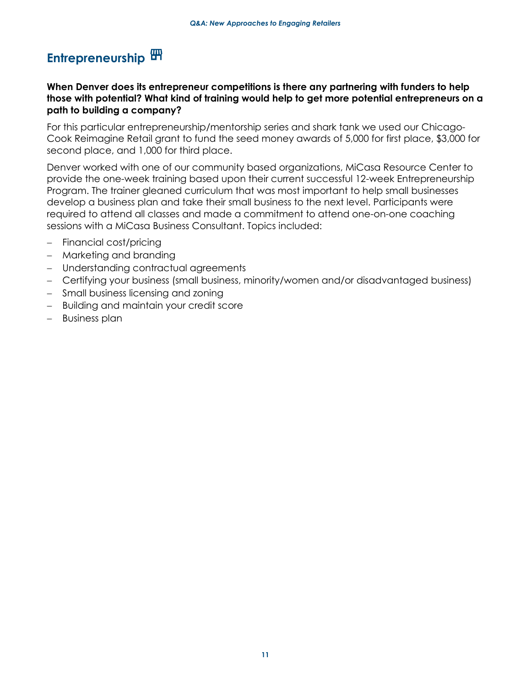## **Entrepreneurship**

### **When Denver does its entrepreneur competitions is there any partnering with funders to help those with potential? What kind of training would help to get more potential entrepreneurs on a path to building a company?**

For this particular entrepreneurship/mentorship series and shark tank we used our Chicago-Cook Reimagine Retail grant to fund the seed money awards of 5,000 for first place, \$3,000 for second place, and 1,000 for third place.

Denver worked with one of our community based organizations, MiCasa Resource Center to provide the one-week training based upon their current successful 12-week Entrepreneurship Program. The trainer gleaned curriculum that was most important to help small businesses develop a business plan and take their small business to the next level. Participants were required to attend all classes and made a commitment to attend one-on-one coaching sessions with a MiCasa Business Consultant. Topics included:

- Financial cost/pricing
- − Marketing and branding
- − Understanding contractual agreements
- − Certifying your business (small business, minority/women and/or disadvantaged business)
- − Small business licensing and zoning
- − Building and maintain your credit score
- − Business plan